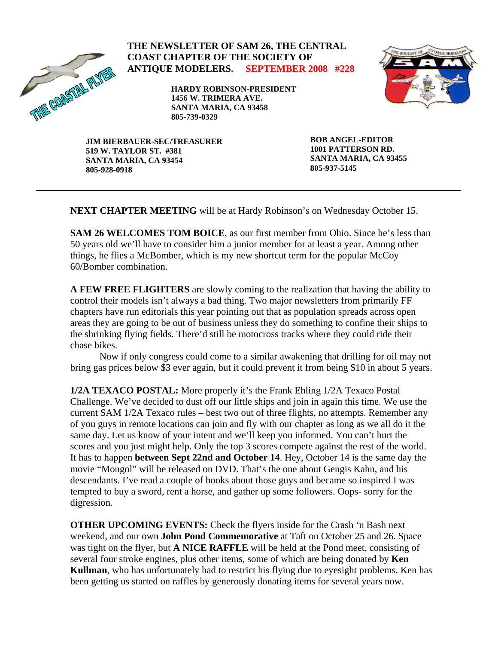

### **THE NEWSLETTER OF SAM 26, THE CENTRAL COAST CHAPTER OF THE SOCIETY OF ANTIQUE MODELERS. SEPTEMBER 2008 #228**

**HARDY ROBINSON-PRESIDENT 1456 W. TRIMERA AVE. SANTA MARIA, CA 93458 805-739-0329** 



**JIM BIERBAUER-SEC/TREASURER 519 W. TAYLOR ST. #381 SANTA MARIA, CA 93454 805-928-0918** 

**BOB ANGEL-EDITOR 1001 PATTERSON RD. SANTA MARIA, CA 93455 805-937-5145** 

**NEXT CHAPTER MEETING** will be at Hardy Robinson's on Wednesday October 15.

**SAM 26 WELCOMES TOM BOICE**, as our first member from Ohio. Since he's less than 50 years old we'll have to consider him a junior member for at least a year. Among other things, he flies a McBomber, which is my new shortcut term for the popular McCoy 60/Bomber combination.

**A FEW FREE FLIGHTERS** are slowly coming to the realization that having the ability to control their models isn't always a bad thing. Two major newsletters from primarily FF chapters have run editorials this year pointing out that as population spreads across open areas they are going to be out of business unless they do something to confine their ships to the shrinking flying fields. There'd still be motocross tracks where they could ride their chase bikes.

 Now if only congress could come to a similar awakening that drilling for oil may not bring gas prices below \$3 ever again, but it could prevent it from being \$10 in about 5 years.

**1/2A TEXACO POSTAL:** More properly it's the Frank Ehling 1/2A Texaco Postal Challenge. We've decided to dust off our little ships and join in again this time. We use the current SAM 1/2A Texaco rules – best two out of three flights, no attempts. Remember any of you guys in remote locations can join and fly with our chapter as long as we all do it the same day. Let us know of your intent and we'll keep you informed. You can't hurt the scores and you just might help. Only the top 3 scores compete against the rest of the world. It has to happen **between Sept 22nd and October 14**. Hey, October 14 is the same day the movie "Mongol" will be released on DVD. That's the one about Gengis Kahn, and his descendants. I've read a couple of books about those guys and became so inspired I was tempted to buy a sword, rent a horse, and gather up some followers. Oops- sorry for the digression.

**OTHER UPCOMING EVENTS:** Check the flyers inside for the Crash 'n Bash next weekend, and our own **John Pond Commemorative** at Taft on October 25 and 26. Space was tight on the flyer, but **A NICE RAFFLE** will be held at the Pond meet, consisting of several four stroke engines, plus other items, some of which are being donated by **Ken Kullman**, who has unfortunately had to restrict his flying due to eyesight problems. Ken has been getting us started on raffles by generously donating items for several years now.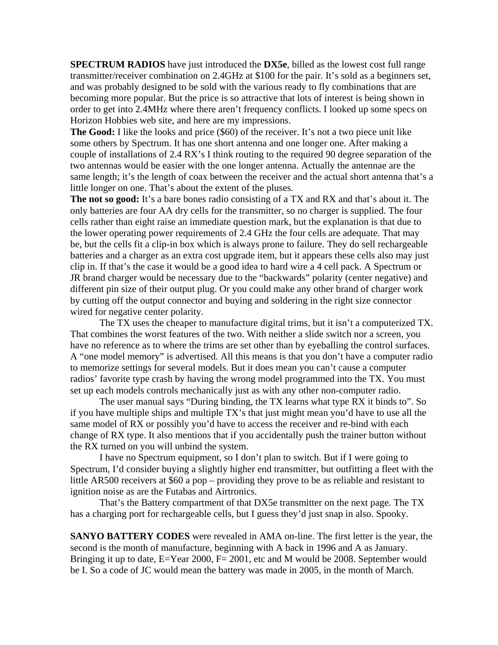**SPECTRUM RADIOS** have just introduced the **DX5e**, billed as the lowest cost full range transmitter/receiver combination on 2.4GHz at \$100 for the pair. It's sold as a beginners set, and was probably designed to be sold with the various ready to fly combinations that are becoming more popular. But the price is so attractive that lots of interest is being shown in order to get into 2.4MHz where there aren't frequency conflicts. I looked up some specs on Horizon Hobbies web site, and here are my impressions.

**The Good:** I like the looks and price (\$60) of the receiver. It's not a two piece unit like some others by Spectrum. It has one short antenna and one longer one. After making a couple of installations of 2.4 RX's I think routing to the required 90 degree separation of the two antennas would be easier with the one longer antenna. Actually the antennae are the same length; it's the length of coax between the receiver and the actual short antenna that's a little longer on one. That's about the extent of the pluses.

**The not so good:** It's a bare bones radio consisting of a TX and RX and that's about it. The only batteries are four AA dry cells for the transmitter, so no charger is supplied. The four cells rather than eight raise an immediate question mark, but the explanation is that due to the lower operating power requirements of 2.4 GHz the four cells are adequate. That may be, but the cells fit a clip-in box which is always prone to failure. They do sell rechargeable batteries and a charger as an extra cost upgrade item, but it appears these cells also may just clip in. If that's the case it would be a good idea to hard wire a 4 cell pack. A Spectrum or JR brand charger would be necessary due to the "backwards" polarity (center negative) and different pin size of their output plug. Or you could make any other brand of charger work by cutting off the output connector and buying and soldering in the right size connector wired for negative center polarity.

 The TX uses the cheaper to manufacture digital trims, but it isn't a computerized TX. That combines the worst features of the two. With neither a slide switch nor a screen, you have no reference as to where the trims are set other than by eyeballing the control surfaces. A "one model memory" is advertised. All this means is that you don't have a computer radio to memorize settings for several models. But it does mean you can't cause a computer radios' favorite type crash by having the wrong model programmed into the TX. You must set up each models controls mechanically just as with any other non-computer radio.

 The user manual says "During binding, the TX learns what type RX it binds to". So if you have multiple ships and multiple TX's that just might mean you'd have to use all the same model of RX or possibly you'd have to access the receiver and re-bind with each change of RX type. It also mentions that if you accidentally push the trainer button without the RX turned on you will unbind the system.

 I have no Spectrum equipment, so I don't plan to switch. But if I were going to Spectrum, I'd consider buying a slightly higher end transmitter, but outfitting a fleet with the little AR500 receivers at \$60 a pop – providing they prove to be as reliable and resistant to ignition noise as are the Futabas and Airtronics.

 That's the Battery compartment of that DX5e transmitter on the next page. The TX has a charging port for rechargeable cells, but I guess they'd just snap in also. Spooky.

**SANYO BATTERY CODES** were revealed in AMA on-line. The first letter is the year, the second is the month of manufacture, beginning with A back in 1996 and A as January. Bringing it up to date, E=Year 2000, F= 2001, etc and M would be 2008. September would be I. So a code of JC would mean the battery was made in 2005, in the month of March.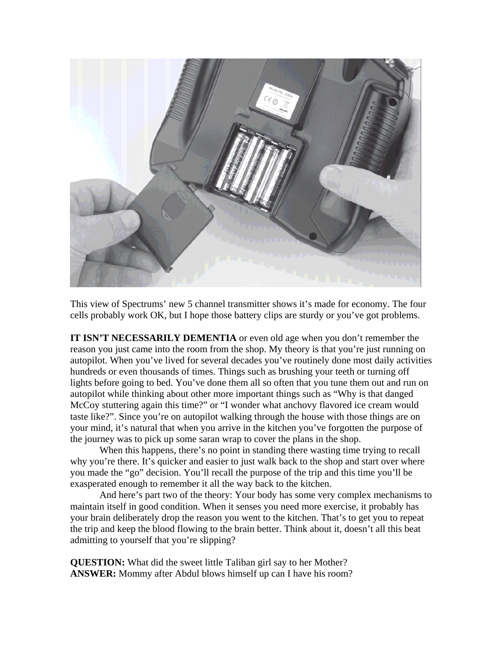

This view of Spectrums' new 5 channel transmitter shows it's made for economy. The four cells probably work OK, but I hope those battery clips are sturdy or you've got problems.

**IT ISN'T NECESSARILY DEMENTIA** or even old age when you don't remember the reason you just came into the room from the shop. My theory is that you're just running on autopilot. When you've lived for several decades you've routinely done most daily activities hundreds or even thousands of times. Things such as brushing your teeth or turning off lights before going to bed. You've done them all so often that you tune them out and run on autopilot while thinking about other more important things such as "Why is that danged McCoy stuttering again this time?" or "I wonder what anchovy flavored ice cream would taste like?". Since you're on autopilot walking through the house with those things are on your mind, it's natural that when you arrive in the kitchen you've forgotten the purpose of the journey was to pick up some saran wrap to cover the plans in the shop.

When this happens, there's no point in standing there wasting time trying to recall why you're there. It's quicker and easier to just walk back to the shop and start over where you made the "go" decision. You'll recall the purpose of the trip and this time you'll be exasperated enough to remember it all the way back to the kitchen.

 And here's part two of the theory: Your body has some very complex mechanisms to maintain itself in good condition. When it senses you need more exercise, it probably has your brain deliberately drop the reason you went to the kitchen. That's to get you to repeat the trip and keep the blood flowing to the brain better. Think about it, doesn't all this beat admitting to yourself that you're slipping?

**QUESTION:** What did the sweet little Taliban girl say to her Mother? **ANSWER:** Mommy after Abdul blows himself up can I have his room?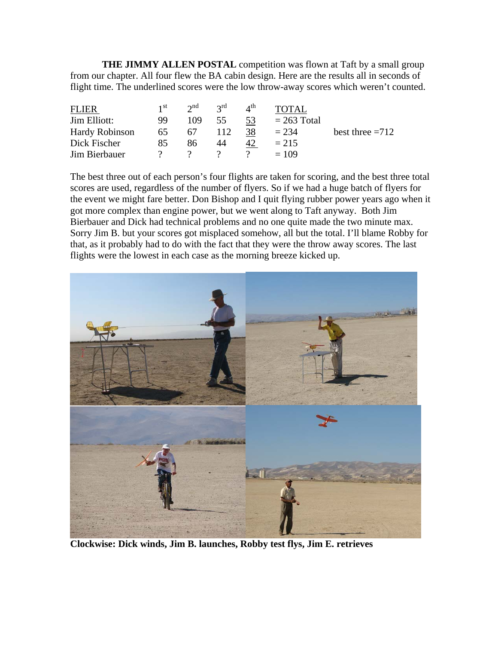**THE JIMMY ALLEN POSTAL** competition was flown at Taft by a small group from our chapter. All four flew the BA cabin design. Here are the results all in seconds of flight time. The underlined scores were the low throw-away scores which weren't counted.

| <b>FLIER</b>          | 1 <sup>st</sup> | $2^{\text{nd}}$ $2^{\text{rd}}$ |     | $\Lambda^{\text{th}}$ | <b>TOTAL</b>  |                   |
|-----------------------|-----------------|---------------------------------|-----|-----------------------|---------------|-------------------|
| Jim Elliott:          | 99              | 109                             | 55  | 53                    | $= 263$ Total |                   |
| <b>Hardy Robinson</b> | 65              | 67                              | 112 | 38                    | $= 234$       | best three $=712$ |
| Dick Fischer          | 85              | 86                              | 44  | 42                    | $= 215$       |                   |
| Jim Bierbauer         |                 |                                 |     |                       | $= 109$       |                   |

The best three out of each person's four flights are taken for scoring, and the best three total scores are used, regardless of the number of flyers. So if we had a huge batch of flyers for the event we might fare better. Don Bishop and I quit flying rubber power years ago when it got more complex than engine power, but we went along to Taft anyway. Both Jim Bierbauer and Dick had technical problems and no one quite made the two minute max. Sorry Jim B. but your scores got misplaced somehow, all but the total. I'll blame Robby for that, as it probably had to do with the fact that they were the throw away scores. The last flights were the lowest in each case as the morning breeze kicked up.



**Clockwise: Dick winds, Jim B. launches, Robby test flys, Jim E. retrieves**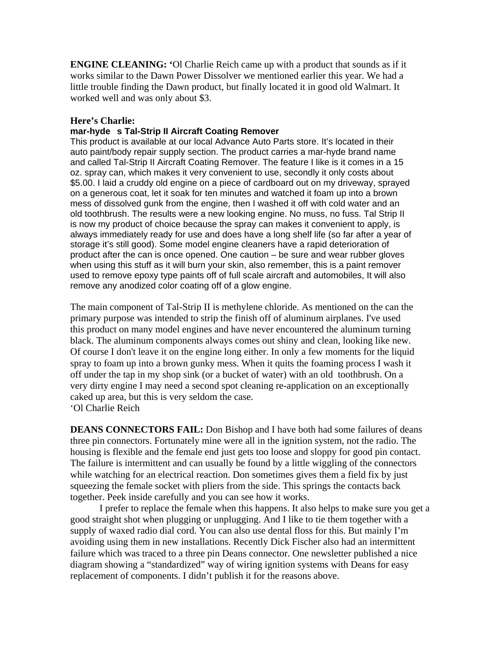**ENGINE CLEANING: '**Ol Charlie Reich came up with a product that sounds as if it works similar to the Dawn Power Dissolver we mentioned earlier this year. We had a little trouble finding the Dawn product, but finally located it in good old Walmart. It worked well and was only about \$3.

#### **Here's Charlie:**

#### **mar-hyde s Tal-Strip II Aircraft Coating Remover**

This product is available at our local Advance Auto Parts store. It's located in their auto paint/body repair supply section. The product carries a mar-hyde brand name and called Tal-Strip II Aircraft Coating Remover. The feature I like is it comes in a 15 oz. spray can, which makes it very convenient to use, secondly it only costs about \$5.00. I laid a cruddy old engine on a piece of cardboard out on my driveway, sprayed on a generous coat, let it soak for ten minutes and watched it foam up into a brown mess of dissolved gunk from the engine, then I washed it off with cold water and an old toothbrush. The results were a new looking engine. No muss, no fuss. Tal Strip II is now my product of choice because the spray can makes it convenient to apply, is always immediately ready for use and does have a long shelf life (so far after a year of storage it's still good). Some model engine cleaners have a rapid deterioration of product after the can is once opened. One caution – be sure and wear rubber gloves when using this stuff as it will burn your skin, also remember, this is a paint remover used to remove epoxy type paints off of full scale aircraft and automobiles, It will also remove any anodized color coating off of a glow engine.

The main component of Tal-Strip II is methylene chloride. As mentioned on the can the primary purpose was intended to strip the finish off of aluminum airplanes. I've used this product on many model engines and have never encountered the aluminum turning black. The aluminum components always comes out shiny and clean, looking like new. Of course I don't leave it on the engine long either. In only a few moments for the liquid spray to foam up into a brown gunky mess. When it quits the foaming process I wash it off under the tap in my shop sink (or a bucket of water) with an old toothbrush. On a very dirty engine I may need a second spot cleaning re-application on an exceptionally caked up area, but this is very seldom the case. 'Ol Charlie Reich

**DEANS CONNECTORS FAIL:** Don Bishop and I have both had some failures of deans three pin connectors. Fortunately mine were all in the ignition system, not the radio. The housing is flexible and the female end just gets too loose and sloppy for good pin contact. The failure is intermittent and can usually be found by a little wiggling of the connectors while watching for an electrical reaction. Don sometimes gives them a field fix by just squeezing the female socket with pliers from the side. This springs the contacts back together. Peek inside carefully and you can see how it works.

 I prefer to replace the female when this happens. It also helps to make sure you get a good straight shot when plugging or unplugging. And I like to tie them together with a supply of waxed radio dial cord. You can also use dental floss for this. But mainly I'm avoiding using them in new installations. Recently Dick Fischer also had an intermittent failure which was traced to a three pin Deans connector. One newsletter published a nice diagram showing a "standardized" way of wiring ignition systems with Deans for easy replacement of components. I didn't publish it for the reasons above.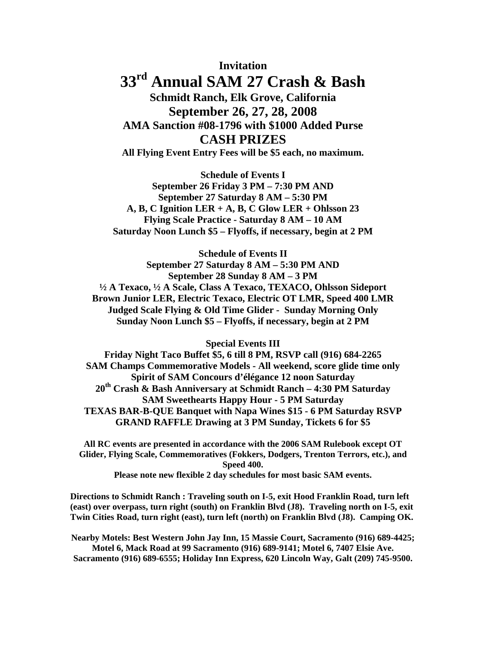# **Invitation 33rd Annual SAM 27 Crash & Bash Schmidt Ranch, Elk Grove, California September 26, 27, 28, 2008 AMA Sanction #08-1796 with \$1000 Added Purse**

**CASH PRIZES** 

**All Flying Event Entry Fees will be \$5 each, no maximum.** 

**Schedule of Events I September 26 Friday 3 PM – 7:30 PM AND September 27 Saturday 8 AM – 5:30 PM A, B, C Ignition LER + A, B, C Glow LER + Ohlsson 23 Flying Scale Practice - Saturday 8 AM – 10 AM Saturday Noon Lunch \$5 – Flyoffs, if necessary, begin at 2 PM** 

**Schedule of Events II September 27 Saturday 8 AM – 5:30 PM AND September 28 Sunday 8 AM – 3 PM ½ A Texaco, ½ A Scale, Class A Texaco, TEXACO, Ohlsson Sideport Brown Junior LER, Electric Texaco, Electric OT LMR, Speed 400 LMR Judged Scale Flying & Old Time Glider - Sunday Morning Only Sunday Noon Lunch \$5 – Flyoffs, if necessary, begin at 2 PM** 

**Special Events III** 

**Friday Night Taco Buffet \$5, 6 till 8 PM, RSVP call (916) 684-2265 SAM Champs Commemorative Models - All weekend, score glide time only Spirit of SAM Concours d'élégance 12 noon Saturday 20th Crash & Bash Anniversary at Schmidt Ranch – 4:30 PM Saturday SAM Sweethearts Happy Hour - 5 PM Saturday TEXAS BAR-B-QUE Banquet with Napa Wines \$15 - 6 PM Saturday RSVP GRAND RAFFLE Drawing at 3 PM Sunday, Tickets 6 for \$5** 

**All RC events are presented in accordance with the 2006 SAM Rulebook except OT Glider, Flying Scale, Commemoratives (Fokkers, Dodgers, Trenton Terrors, etc.), and Speed 400.** 

**Please note new flexible 2 day schedules for most basic SAM events.** 

**Directions to Schmidt Ranch : Traveling south on I-5, exit Hood Franklin Road, turn left (east) over overpass, turn right (south) on Franklin Blvd (J8). Traveling north on I-5, exit Twin Cities Road, turn right (east), turn left (north) on Franklin Blvd (J8). Camping OK.** 

**Nearby Motels: Best Western John Jay Inn, 15 Massie Court, Sacramento (916) 689-4425; Motel 6, Mack Road at 99 Sacramento (916) 689-9141; Motel 6, 7407 Elsie Ave. Sacramento (916) 689-6555; Holiday Inn Express, 620 Lincoln Way, Galt (209) 745-9500.**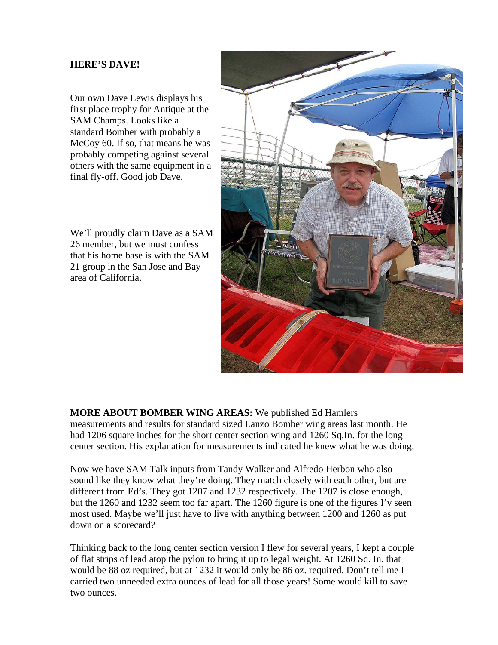#### **HERE'S DAVE!**

Our own Dave Lewis displays his first place trophy for Antique at the SAM Champs. Looks like a standard Bomber with probably a McCoy 60. If so, that means he was probably competing against several others with the same equipment in a final fly-off. Good job Dave.

We'll proudly claim Dave as a SAM 26 member, but we must confess that his home base is with the SAM 21 group in the San Jose and Bay area of California.



### **MORE ABOUT BOMBER WING AREAS:** We published Ed Hamlers

measurements and results for standard sized Lanzo Bomber wing areas last month. He had 1206 square inches for the short center section wing and 1260 Sq.In. for the long center section. His explanation for measurements indicated he knew what he was doing.

Now we have SAM Talk inputs from Tandy Walker and Alfredo Herbon who also sound like they know what they're doing. They match closely with each other, but are different from Ed's. They got 1207 and 1232 respectively. The 1207 is close enough, but the 1260 and 1232 seem too far apart. The 1260 figure is one of the figures I'v seen most used. Maybe we'll just have to live with anything between 1200 and 1260 as put down on a scorecard?

Thinking back to the long center section version I flew for several years, I kept a couple of flat strips of lead atop the pylon to bring it up to legal weight. At 1260 Sq. In. that would be 88 oz required, but at 1232 it would only be 86 oz. required. Don't tell me I carried two unneeded extra ounces of lead for all those years! Some would kill to save two ounces.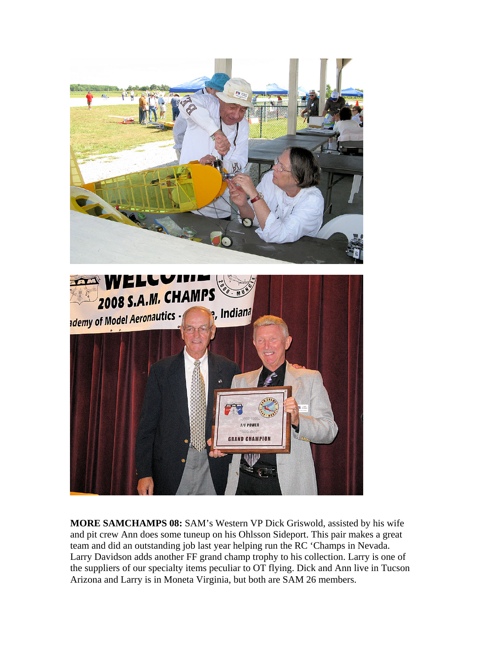



**MORE SAMCHAMPS 08:** SAM's Western VP Dick Griswold, assisted by his wife and pit crew Ann does some tuneup on his Ohlsson Sideport. This pair makes a great team and did an outstanding job last year helping run the RC 'Champs in Nevada. Larry Davidson adds another FF grand champ trophy to his collection. Larry is one of the suppliers of our specialty items peculiar to OT flying. Dick and Ann live in Tucson Arizona and Larry is in Moneta Virginia, but both are SAM 26 members.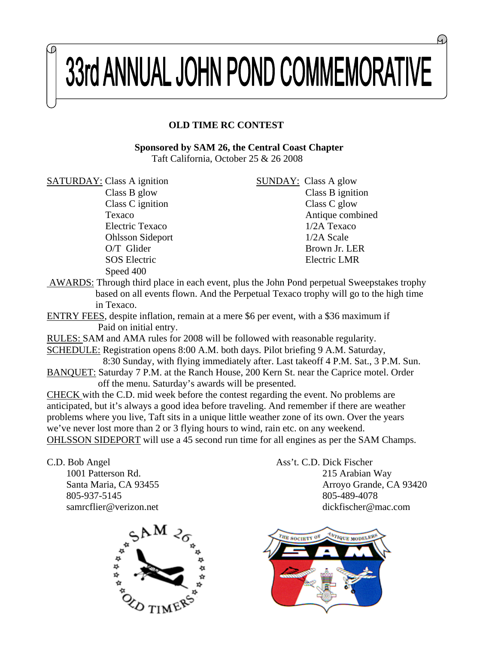# 33rd ANNUAL JOHN POND COMMEMORATIVE

## **OLD TIME RC CONTEST**

#### **Sponsored by SAM 26, the Central Coast Chapter** Taft California, October 25 & 26 2008

SATURDAY: Class A ignition SUNDAY: Class A glow Speed 400

Class B glow Class B ignition Class C ignition Class C glow Texaco Antique combined Electric Texaco 1/2A Texaco Ohlsson Sideport 1/2A Scale O/T Glider Brown Jr. LER SOS Electric LMR

- AWARDS: Through third place in each event, plus the John Pond perpetual Sweepstakes trophy based on all events flown. And the Perpetual Texaco trophy will go to the high time in Texaco.
- ENTRY FEES, despite inflation, remain at a mere \$6 per event, with a \$36 maximum if Paid on initial entry.
- RULES: SAM and AMA rules for 2008 will be followed with reasonable regularity.
- SCHEDULE: Registration opens 8:00 A.M. both days. Pilot briefing 9 A.M. Saturday, 8:30 Sunday, with flying immediately after. Last takeoff 4 P.M. Sat., 3 P.M. Sun. BANQUET: Saturday 7 P.M. at the Ranch House, 200 Kern St. near the Caprice motel. Order

off the menu. Saturday's awards will be presented.

CHECK with the C.D. mid week before the contest regarding the event. No problems are anticipated, but it's always a good idea before traveling. And remember if there are weather problems where you live, Taft sits in a unique little weather zone of its own. Over the years we've never lost more than 2 or 3 flying hours to wind, rain etc. on any weekend. OHLSSON SIDEPORT will use a 45 second run time for all engines as per the SAM Champs.

C.D. Bob Angel Ass't. C.D. Dick Fischer



 1001 Patterson Rd. 215 Arabian Way Santa Maria, CA 93455 Arroyo Grande, CA 93420 805-937-5145 805-489-4078 samrcflier@verizon.net dickfischer@mac.com